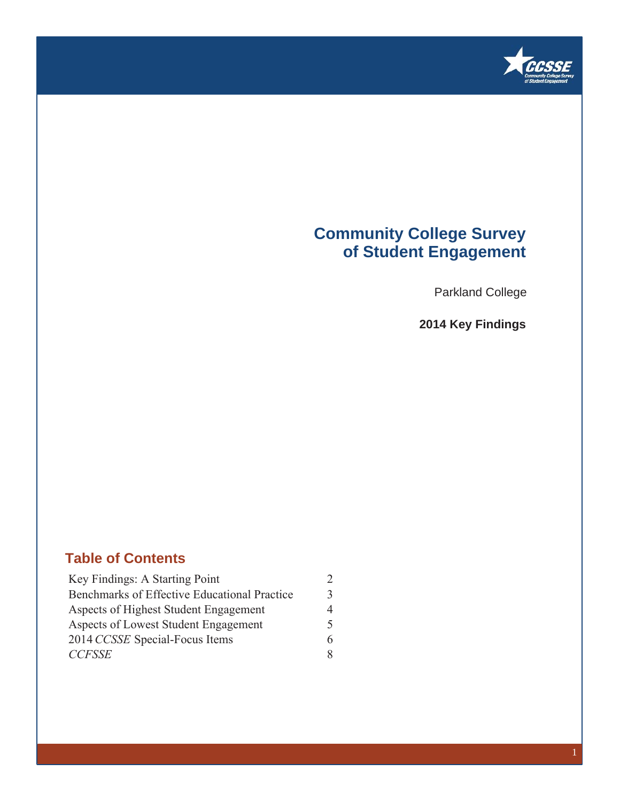

### **Community College Survey of Student Engagement**

Parkland College

**2014 Key Findings**

### **Table of Contents**

| Key Findings: A Starting Point               | $\mathfrak{D}_{\mathfrak{p}}$ |
|----------------------------------------------|-------------------------------|
| Benchmarks of Effective Educational Practice | 3                             |
| Aspects of Highest Student Engagement        | 4                             |
| Aspects of Lowest Student Engagement         | 5                             |
| 2014 CCSSE Special-Focus Items               | 6                             |
| <b>CCFSSE</b>                                | 8                             |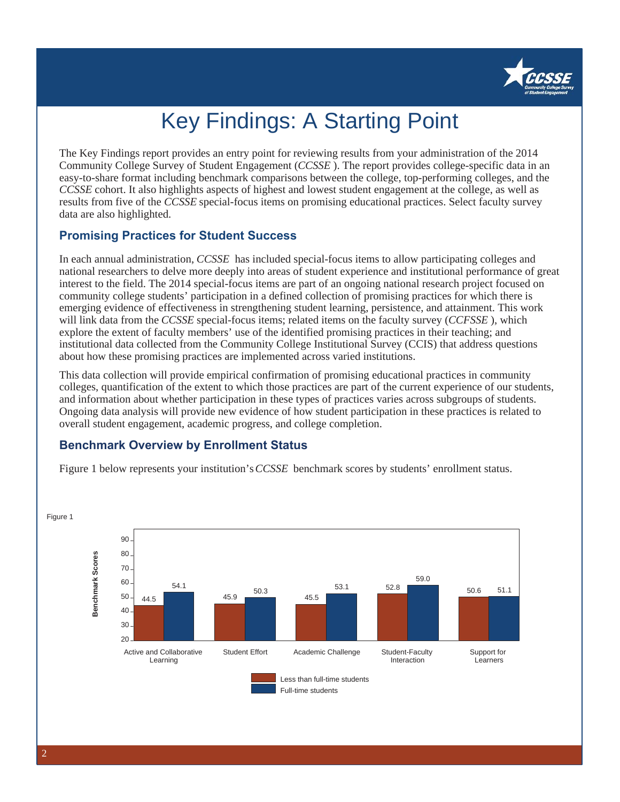

# Key Findings: A Starting Point

The Key Findings report provides an entry point for reviewing results from your administration of the 2014 Community College Survey of Student Engagement (*CCSSE* ). The report provides college-specific data in an easy-to-share format including benchmark comparisons between the college, top-performing colleges, and the *CCSSE* cohort. It also highlights aspects of highest and lowest student engagement at the college, as well as results from five of the *CCSSE* special-focus items on promising educational practices. Select faculty survey data are also highlighted.

### **Promising Practices for Student Success**

In each annual administration, *CCSSE* has included special-focus items to allow participating colleges and national researchers to delve more deeply into areas of student experience and institutional performance of great interest to the field. The 2014 special-focus items are part of an ongoing national research project focused on community college students' participation in a defined collection of promising practices for which there is emerging evidence of effectiveness in strengthening student learning, persistence, and attainment. This work will link data from the *CCSSE* special-focus items; related items on the faculty survey (*CCFSSE* ), which explore the extent of faculty members' use of the identified promising practices in their teaching; and institutional data collected from the Community College Institutional Survey (CCIS) that address questions about how these promising practices are implemented across varied institutions.

This data collection will provide empirical confirmation of promising educational practices in community colleges, quantification of the extent to which those practices are part of the current experience of our students, and information about whether participation in these types of practices varies across subgroups of students. Ongoing data analysis will provide new evidence of how student participation in these practices is related to overall student engagement, academic progress, and college completion.

### **Benchmark Overview by Enrollment Status**

Figure 1 below represents your institution's *CCSSE* benchmark scores by students' enrollment status.



2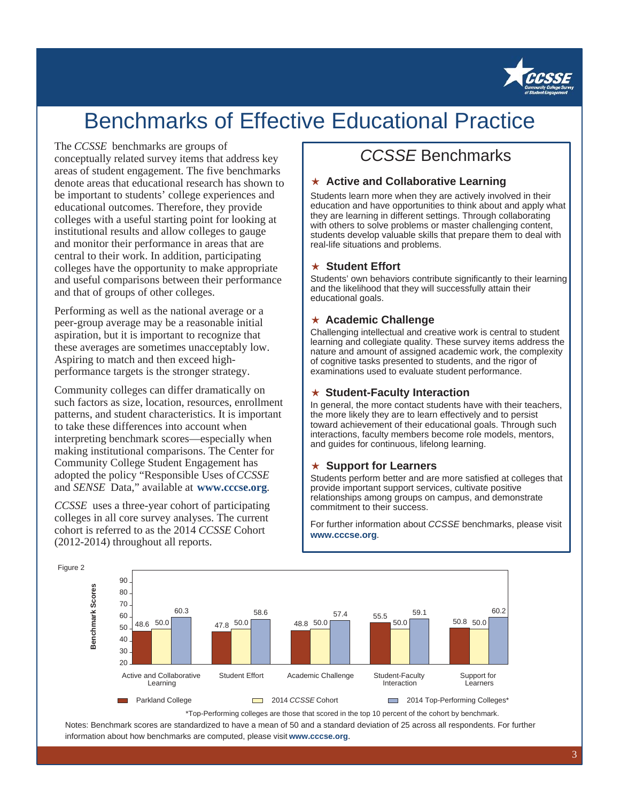

## Benchmarks of Effective Educational Practice

#### The *CCSSE* benchmarks are groups of

conceptually related survey items that address key areas of student engagement. The five benchmarks denote areas that educational research has shown to be important to students' college experiences and educational outcomes. Therefore, they provide colleges with a useful starting point for looking at institutional results and allow colleges to gauge and monitor their performance in areas that are central to their work. In addition, participating colleges have the opportunity to make appropriate and useful comparisons between their performance and that of groups of other colleges.

Performing as well as the national average or a peer-group average may be a reasonable initial aspiration, but it is important to recognize that these averages are sometimes unacceptably low. Aspiring to match and then exceed highperformance targets is the stronger strategy.

Community colleges can differ dramatically on such factors as size, location, resources, enrollment patterns, and student characteristics. It is important to take these differences into account when interpreting benchmark scores—especially when making institutional comparisons. The Center for Community College Student Engagement has adopted the policy "Responsible Uses of *CCSSE* and *SENSE* Data," available at **www.cccse.org**.

*CCSSE* uses a three-year cohort of participating colleges in all core survey analyses. The current cohort is referred to as the 2014 *CCSSE* Cohort (2012-2014) throughout all reports.

## *CCSSE* Benchmarks

#### ఴ **Active and Collaborative Learning**

Students learn more when they are actively involved in their education and have opportunities to think about and apply what they are learning in different settings. Through collaborating with others to solve problems or master challenging content, students develop valuable skills that prepare them to deal with real-life situations and problems.

#### **★ Student Effort**

Students' own behaviors contribute significantly to their learning and the likelihood that they will successfully attain their educational goals.

### ఴ **Academic Challenge**

Challenging intellectual and creative work is central to student learning and collegiate quality. These survey items address the nature and amount of assigned academic work, the complexity of cognitive tasks presented to students, and the rigor of examinations used to evaluate student performance.

#### ఴ **Student-Faculty Interaction**

In general, the more contact students have with their teachers, the more likely they are to learn effectively and to persist toward achievement of their educational goals. Through such interactions, faculty members become role models, mentors, and guides for continuous, lifelong learning.

#### ఴ **Support for Learners**

Students perform better and are more satisfied at colleges that provide important support services, cultivate positive relationships among groups on campus, and demonstrate commitment to their success.

For further information about *CCSSE* benchmarks, please visit **www.cccse.org**.



\*Top-Performing colleges are those that scored in the top 10 percent of the cohort by benchmark.

Notes: Benchmark scores are standardized to have a mean of 50 and a standard deviation of 25 across all respondents. For further information about how benchmarks are computed, please visit **www.cccse.org**.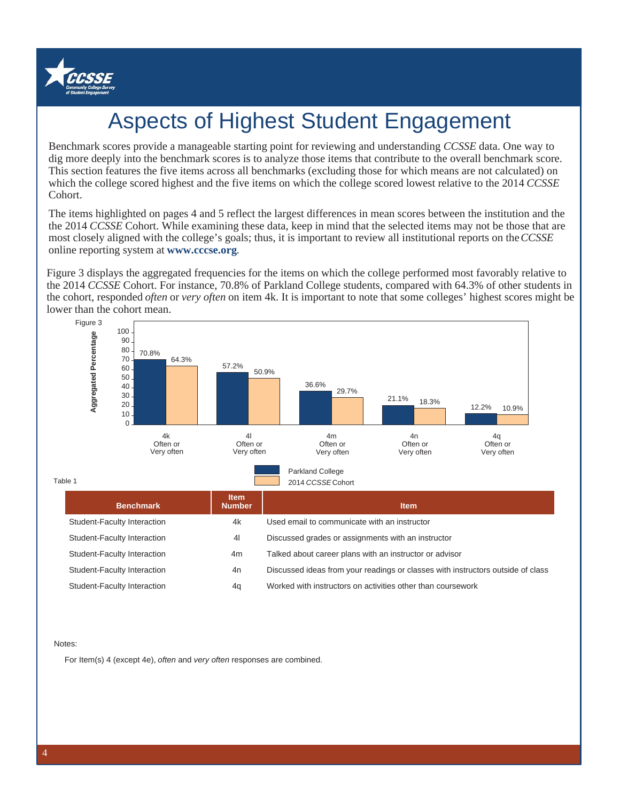

# Aspects of Highest Student Engagement

Benchmark scores provide a manageable starting point for reviewing and understanding *CCSSE* data. One way to dig more deeply into the benchmark scores is to analyze those items that contribute to the overall benchmark score. This section features the five items across all benchmarks (excluding those for which means are not calculated) on which the college scored highest and the five items on which the college scored lowest relative to the 2014 *CCSSE* Cohort.

The items highlighted on pages 4 and 5 reflect the largest differences in mean scores between the institution and the the 2014 *CCSSE* Cohort. While examining these data, keep in mind that the selected items may not be those that are most closely aligned with the college's goals; thus, it is important to review all institutional reports on the *CCSSE* online reporting system at **www.cccse.org**.

Figure 3 displays the aggregated frequencies for the items on which the college performed most favorably relative to the 2014 *CCSSE* Cohort. For instance, 70.8% of Parkland College students, compared with 64.3% of other students in the cohort, responded *often* or *very often* on item 4k. It is important to note that some colleges' highest scores might be lower than the cohort mean.



Student-Faculty Interaction 4n Discussed ideas from your readings or classes with instructors outside of class

Student-Faculty Interaction 4q Worked with instructors on activities other than coursework

Notes:

For Item(s) 4 (except 4e), *often* and *very often* responses are combined.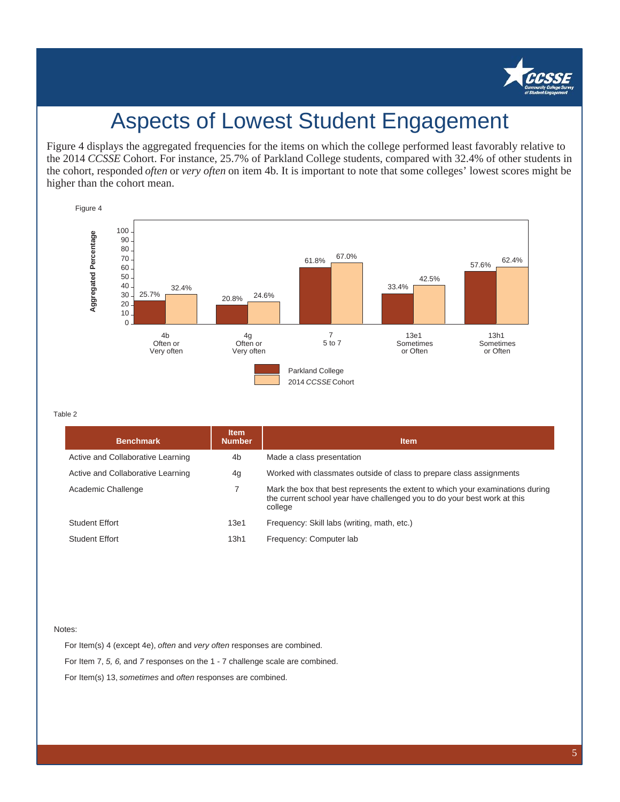

## Aspects of Lowest Student Engagement

Figure 4 displays the aggregated frequencies for the items on which the college performed least favorably relative to the 2014 *CCSSE* Cohort. For instance, 25.7% of Parkland College students, compared with 32.4% of other students in the cohort, responded *often* or *very often* on item 4b. It is important to note that some colleges' lowest scores might be higher than the cohort mean.



#### Table 2

| <b>Benchmark</b>                  | <b>Item</b><br><b>Number</b> | <b>Item</b>                                                                                                                                                           |  |  |  |
|-----------------------------------|------------------------------|-----------------------------------------------------------------------------------------------------------------------------------------------------------------------|--|--|--|
| Active and Collaborative Learning | 4b                           | Made a class presentation                                                                                                                                             |  |  |  |
| Active and Collaborative Learning | 4g                           | Worked with classmates outside of class to prepare class assignments                                                                                                  |  |  |  |
| Academic Challenge                |                              | Mark the box that best represents the extent to which your examinations during<br>the current school year have challenged you to do your best work at this<br>college |  |  |  |
| <b>Student Effort</b>             | 13e1                         | Frequency: Skill labs (writing, math, etc.)                                                                                                                           |  |  |  |
| <b>Student Effort</b>             | 13h1                         | Frequency: Computer lab                                                                                                                                               |  |  |  |

#### Notes:

For Item(s) 4 (except 4e), *often* and *very often* responses are combined. For Item 7, *5, 6,* and *7* responses on the 1 - 7 challenge scale are combined. For Item(s) 13, *sometimes* and *often* responses are combined.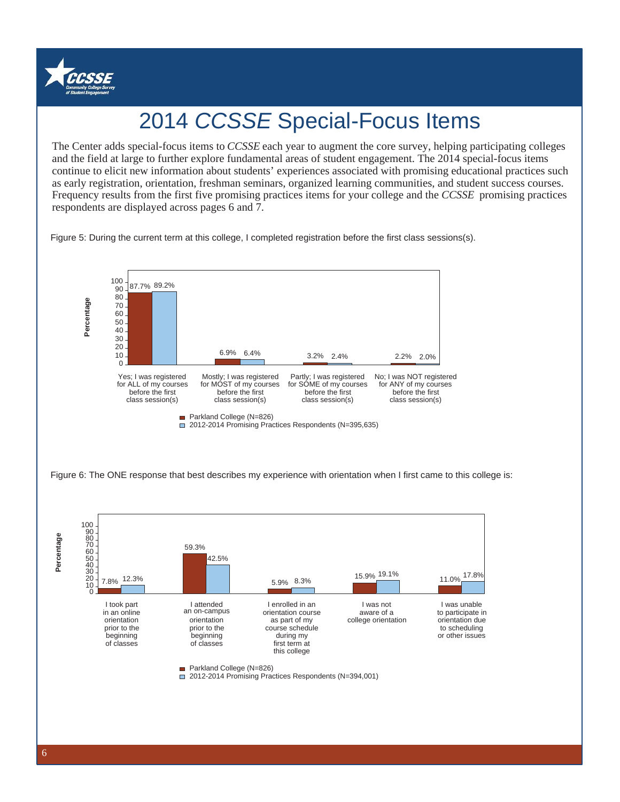

# 2014 *CCSSE* Special-Focus Items

and the field at large to further explore fundamental areas of student engagement. The 2014 special-focus items The Center adds special-focus items to *CCSSE* each year to augment the core survey, helping participating colleges continue to elicit new information about students' experiences associated with promising educational practices such as early registration, orientation, freshman seminars, organized learning communities, and student success courses. Frequency results from the first five promising practices items for your college and the *CCSSE* promising practices respondents are displayed across pages 6 and 7.

Figure 5: During the current term at this college, I completed registration before the first class sessions(s).

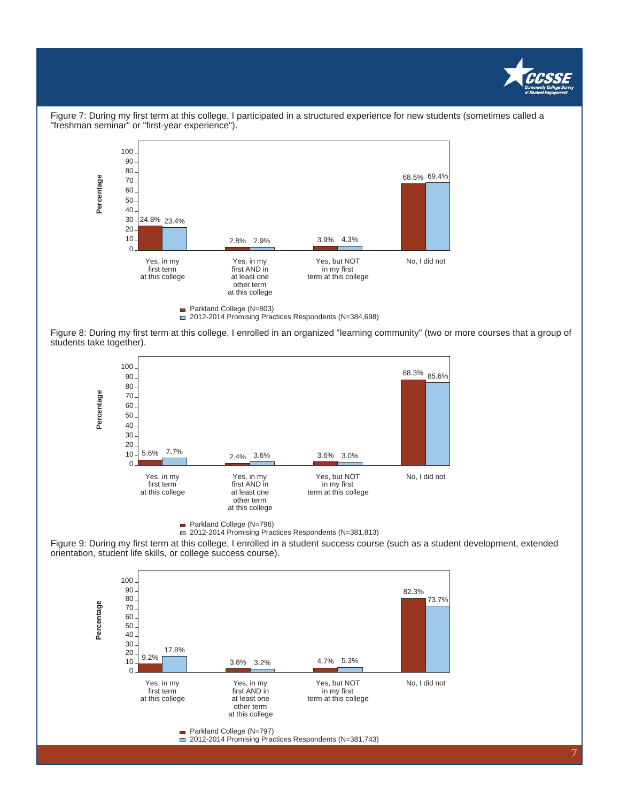



Figure 7: During my first term at this college, I participated in a structured experience for new students (sometimes called a "freshman seminar" or "first-year experience").

Figure 8: During my first term at this college, I enrolled in an organized "learning community" (two or more courses that a group of students take together).



Parkland College (N=796)

2012-2014 Promising Practices Respondents (N=381,813)

Figure 9: During my first term at this college, I enrolled in a student success course (such as a student development, extended orientation, student life skills, or college success course).